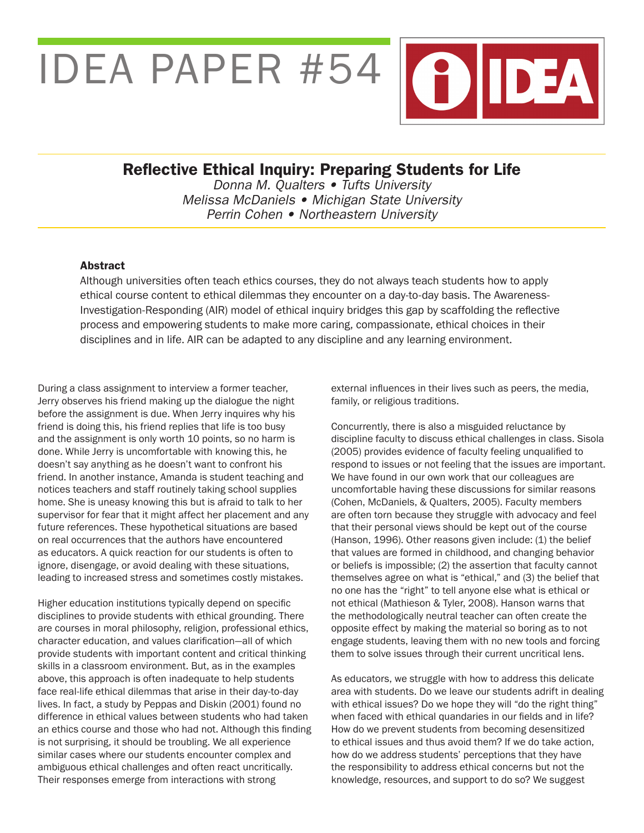# IDEA PAPER #54



Donna M. Qualters • Tufts University Melissa McDaniels • Michigan State University Perrin Cohen • Northeastern University

#### Abstract

Although universities often teach ethics courses, they do not always teach students how to apply ethical course content to ethical dilemmas they encounter on a day-to-day basis. The Awareness-Investigation-Responding (AIR) model of ethical inquiry bridges this gap by scaffolding the reflective process and empowering students to make more caring, compassionate, ethical choices in their disciplines and in life. AIR can be adapted to any discipline and any learning environment.

During a class assignment to interview a former teacher, Jerry observes his friend making up the dialogue the night before the assignment is due. When Jerry inquires why his friend is doing this, his friend replies that life is too busy and the assignment is only worth 10 points, so no harm is done. While Jerry is uncomfortable with knowing this, he doesn't say anything as he doesn't want to confront his friend. In another instance, Amanda is student teaching and notices teachers and staff routinely taking school supplies home. She is uneasy knowing this but is afraid to talk to her supervisor for fear that it might affect her placement and any future references. These hypothetical situations are based on real occurrences that the authors have encountered as educators. A quick reaction for our students is often to ignore, disengage, or avoid dealing with these situations, leading to increased stress and sometimes costly mistakes.

Higher education institutions typically depend on specific disciplines to provide students with ethical grounding. There are courses in moral philosophy, religion, professional ethics, character education, and values clarification—all of which provide students with important content and critical thinking skills in a classroom environment. But, as in the examples above, this approach is often inadequate to help students face real-life ethical dilemmas that arise in their day-to-day lives. In fact, a study by Peppas and Diskin (2001) found no difference in ethical values between students who had taken an ethics course and those who had not. Although this finding is not surprising, it should be troubling. We all experience similar cases where our students encounter complex and ambiguous ethical challenges and often react uncritically. Their responses emerge from interactions with strong

external influences in their lives such as peers, the media, family, or religious traditions.

Concurrently, there is also a misguided reluctance by discipline faculty to discuss ethical challenges in class. Sisola (2005) provides evidence of faculty feeling unqualified to respond to issues or not feeling that the issues are important. We have found in our own work that our colleagues are uncomfortable having these discussions for similar reasons (Cohen, McDaniels, & Qualters, 2005). Faculty members are often torn because they struggle with advocacy and feel that their personal views should be kept out of the course (Hanson, 1996). Other reasons given include: (1) the belief that values are formed in childhood, and changing behavior or beliefs is impossible; (2) the assertion that faculty cannot themselves agree on what is "ethical," and (3) the belief that no one has the "right" to tell anyone else what is ethical or not ethical (Mathieson & Tyler, 2008). Hanson warns that the methodologically neutral teacher can often create the opposite effect by making the material so boring as to not engage students, leaving them with no new tools and forcing them to solve issues through their current uncritical lens.

As educators, we struggle with how to address this delicate area with students. Do we leave our students adrift in dealing with ethical issues? Do we hope they will "do the right thing" when faced with ethical quandaries in our fields and in life? How do we prevent students from becoming desensitized to ethical issues and thus avoid them? If we do take action, how do we address students' perceptions that they have the responsibility to address ethical concerns but not the knowledge, resources, and support to do so? We suggest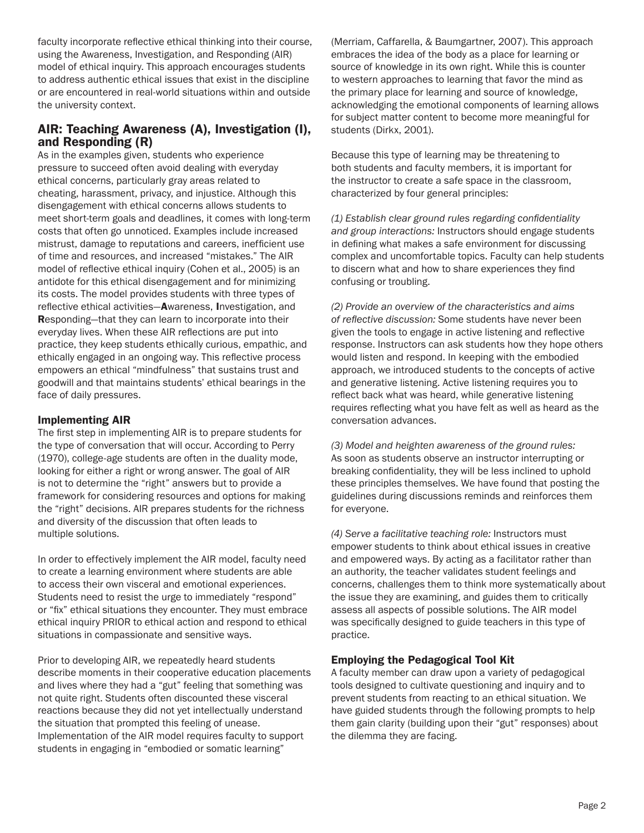faculty incorporate reflective ethical thinking into their course, using the Awareness, Investigation, and Responding (AIR) model of ethical inquiry. This approach encourages students to address authentic ethical issues that exist in the discipline or are encountered in real-world situations within and outside the university context.

# AIR: Teaching Awareness (A), Investigation (I), and Responding (R)

As in the examples given, students who experience pressure to succeed often avoid dealing with everyday ethical concerns, particularly gray areas related to cheating, harassment, privacy, and injustice. Although this disengagement with ethical concerns allows students to meet short-term goals and deadlines, it comes with long-term costs that often go unnoticed. Examples include increased mistrust, damage to reputations and careers, inefficient use of time and resources, and increased "mistakes." The AIR model of reflective ethical inquiry (Cohen et al., 2005) is an antidote for this ethical disengagement and for minimizing its costs. The model provides students with three types of reflective ethical activities—Awareness, Investigation, and Responding—that they can learn to incorporate into their everyday lives. When these AIR reflections are put into practice, they keep students ethically curious, empathic, and ethically engaged in an ongoing way. This reflective process empowers an ethical "mindfulness" that sustains trust and goodwill and that maintains students' ethical bearings in the face of daily pressures.

## Implementing AIR

The first step in implementing AIR is to prepare students for the type of conversation that will occur. According to Perry (1970), college-age students are often in the duality mode, looking for either a right or wrong answer. The goal of AIR is not to determine the "right" answers but to provide a framework for considering resources and options for making the "right" decisions. AIR prepares students for the richness and diversity of the discussion that often leads to multiple solutions.

In order to effectively implement the AIR model, faculty need to create a learning environment where students are able to access their own visceral and emotional experiences. Students need to resist the urge to immediately "respond" or "fix" ethical situations they encounter. They must embrace ethical inquiry PRIOR to ethical action and respond to ethical situations in compassionate and sensitive ways.

Prior to developing AIR, we repeatedly heard students describe moments in their cooperative education placements and lives where they had a "gut" feeling that something was not quite right. Students often discounted these visceral reactions because they did not yet intellectually understand the situation that prompted this feeling of unease. Implementation of the AIR model requires faculty to support students in engaging in "embodied or somatic learning"

(Merriam, Caffarella, & Baumgartner, 2007). This approach embraces the idea of the body as a place for learning or source of knowledge in its own right. While this is counter to western approaches to learning that favor the mind as the primary place for learning and source of knowledge, acknowledging the emotional components of learning allows for subject matter content to become more meaningful for students (Dirkx, 2001).

Because this type of learning may be threatening to both students and faculty members, it is important for the instructor to create a safe space in the classroom, characterized by four general principles:

*(1) Establish clear ground rules regarding confidentiality and group interactions:* Instructors should engage students in defining what makes a safe environment for discussing complex and uncomfortable topics. Faculty can help students to discern what and how to share experiences they find confusing or troubling.

*(2) Provide an overview of the characteristics and aims of reflective discussion:* Some students have never been given the tools to engage in active listening and reflective response. Instructors can ask students how they hope others would listen and respond. In keeping with the embodied approach, we introduced students to the concepts of active and generative listening. Active listening requires you to reflect back what was heard, while generative listening requires reflecting what you have felt as well as heard as the conversation advances.

*(3) Model and heighten awareness of the ground rules:*  As soon as students observe an instructor interrupting or breaking confidentiality, they will be less inclined to uphold these principles themselves. We have found that posting the guidelines during discussions reminds and reinforces them for everyone.

*(4) Serve a facilitative teaching role:* Instructors must empower students to think about ethical issues in creative and empowered ways. By acting as a facilitator rather than an authority, the teacher validates student feelings and concerns, challenges them to think more systematically about the issue they are examining, and guides them to critically assess all aspects of possible solutions. The AIR model was specifically designed to guide teachers in this type of practice.

## Employing the Pedagogical Tool Kit

A faculty member can draw upon a variety of pedagogical tools designed to cultivate questioning and inquiry and to prevent students from reacting to an ethical situation. We have guided students through the following prompts to help them gain clarity (building upon their "gut" responses) about the dilemma they are facing.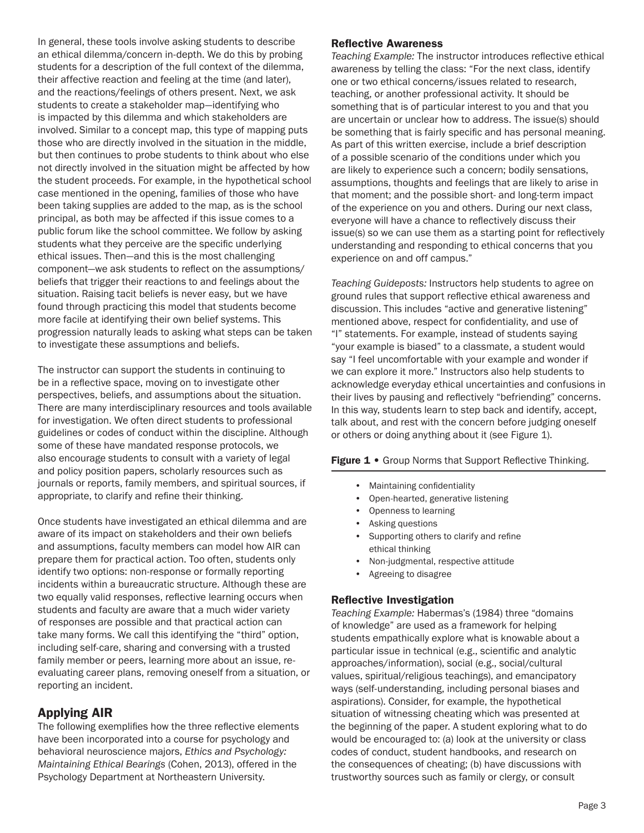In general, these tools involve asking students to describe an ethical dilemma/concern in-depth. We do this by probing students for a description of the full context of the dilemma, their affective reaction and feeling at the time (and later), and the reactions/feelings of others present. Next, we ask students to create a stakeholder map—identifying who is impacted by this dilemma and which stakeholders are involved. Similar to a concept map, this type of mapping puts those who are directly involved in the situation in the middle, but then continues to probe students to think about who else not directly involved in the situation might be affected by how the student proceeds. For example, in the hypothetical school case mentioned in the opening, families of those who have been taking supplies are added to the map, as is the school principal, as both may be affected if this issue comes to a public forum like the school committee. We follow by asking students what they perceive are the specific underlying ethical issues. Then—and this is the most challenging component—we ask students to reflect on the assumptions/ beliefs that trigger their reactions to and feelings about the situation. Raising tacit beliefs is never easy, but we have found through practicing this model that students become more facile at identifying their own belief systems. This progression naturally leads to asking what steps can be taken to investigate these assumptions and beliefs.

The instructor can support the students in continuing to be in a reflective space, moving on to investigate other perspectives, beliefs, and assumptions about the situation. There are many interdisciplinary resources and tools available for investigation. We often direct students to professional guidelines or codes of conduct within the discipline. Although some of these have mandated response protocols, we also encourage students to consult with a variety of legal and policy position papers, scholarly resources such as journals or reports, family members, and spiritual sources, if appropriate, to clarify and refine their thinking.

Once students have investigated an ethical dilemma and are aware of its impact on stakeholders and their own beliefs and assumptions, faculty members can model how AIR can prepare them for practical action. Too often, students only identify two options: non-response or formally reporting incidents within a bureaucratic structure. Although these are two equally valid responses, reflective learning occurs when students and faculty are aware that a much wider variety of responses are possible and that practical action can take many forms. We call this identifying the "third" option, including self-care, sharing and conversing with a trusted family member or peers, learning more about an issue, reevaluating career plans, removing oneself from a situation, or reporting an incident.

# Applying AIR

The following exemplifies how the three reflective elements have been incorporated into a course for psychology and behavioral neuroscience majors, *Ethics and Psychology: Maintaining Ethical Bearings* (Cohen, 2013), offered in the Psychology Department at Northeastern University.

#### Reflective Awareness

*Teaching Example:* The instructor introduces reflective ethical awareness by telling the class: "For the next class, identify one or two ethical concerns/issues related to research, teaching, or another professional activity. It should be something that is of particular interest to you and that you are uncertain or unclear how to address. The issue(s) should be something that is fairly specific and has personal meaning. As part of this written exercise, include a brief description of a possible scenario of the conditions under which you are likely to experience such a concern; bodily sensations, assumptions, thoughts and feelings that are likely to arise in that moment; and the possible short- and long-term impact of the experience on you and others. During our next class, everyone will have a chance to reflectively discuss their issue(s) so we can use them as a starting point for reflectively understanding and responding to ethical concerns that you experience on and off campus."

*Teaching Guideposts:* Instructors help students to agree on ground rules that support reflective ethical awareness and discussion. This includes "active and generative listening" mentioned above, respect for confidentiality, and use of "I" statements. For example, instead of students saying "your example is biased" to a classmate, a student would say "I feel uncomfortable with your example and wonder if we can explore it more." Instructors also help students to acknowledge everyday ethical uncertainties and confusions in their lives by pausing and reflectively "befriending" concerns. In this way, students learn to step back and identify, accept, talk about, and rest with the concern before judging oneself or others or doing anything about it (see Figure 1).

#### Figure 1 • Group Norms that Support Reflective Thinking.

- Maintaining confidentiality
- Open-hearted, generative listening
- Openness to learning
- Asking questions
- Supporting others to clarify and refine ethical thinking
- Non-judgmental, respective attitude
- Agreeing to disagree

## Reflective Investigation

*Teaching Example:* Habermas's (1984) three "domains of knowledge" are used as a framework for helping students empathically explore what is knowable about a particular issue in technical (e.g., scientific and analytic approaches/information), social (e.g., social/cultural values, spiritual/religious teachings), and emancipatory ways (self-understanding, including personal biases and aspirations). Consider, for example, the hypothetical situation of witnessing cheating which was presented at the beginning of the paper. A student exploring what to do would be encouraged to: (a) look at the university or class codes of conduct, student handbooks, and research on the consequences of cheating; (b) have discussions with trustworthy sources such as family or clergy, or consult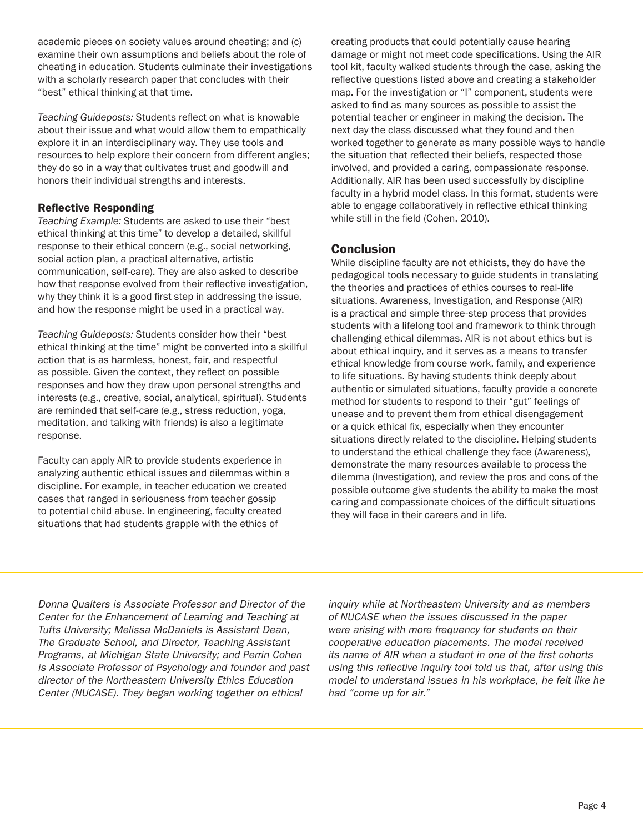academic pieces on society values around cheating; and (c) examine their own assumptions and beliefs about the role of cheating in education. Students culminate their investigations with a scholarly research paper that concludes with their "best" ethical thinking at that time.

*Teaching Guideposts:* Students reflect on what is knowable about their issue and what would allow them to empathically explore it in an interdisciplinary way. They use tools and resources to help explore their concern from different angles; they do so in a way that cultivates trust and goodwill and honors their individual strengths and interests.

## Reflective Responding

*Teaching Example:* Students are asked to use their "best ethical thinking at this time" to develop a detailed, skillful response to their ethical concern (e.g., social networking, social action plan, a practical alternative, artistic communication, self-care). They are also asked to describe how that response evolved from their reflective investigation, why they think it is a good first step in addressing the issue, and how the response might be used in a practical way.

*Teaching Guideposts:* Students consider how their "best ethical thinking at the time" might be converted into a skillful action that is as harmless, honest, fair, and respectful as possible. Given the context, they reflect on possible responses and how they draw upon personal strengths and interests (e.g., creative, social, analytical, spiritual). Students are reminded that self-care (e.g., stress reduction, yoga, meditation, and talking with friends) is also a legitimate response.

Faculty can apply AIR to provide students experience in analyzing authentic ethical issues and dilemmas within a discipline. For example, in teacher education we created cases that ranged in seriousness from teacher gossip to potential child abuse. In engineering, faculty created situations that had students grapple with the ethics of

creating products that could potentially cause hearing damage or might not meet code specifications. Using the AIR tool kit, faculty walked students through the case, asking the reflective questions listed above and creating a stakeholder map. For the investigation or "I" component, students were asked to find as many sources as possible to assist the potential teacher or engineer in making the decision. The next day the class discussed what they found and then worked together to generate as many possible ways to handle the situation that reflected their beliefs, respected those involved, and provided a caring, compassionate response. Additionally, AIR has been used successfully by discipline faculty in a hybrid model class. In this format, students were able to engage collaboratively in reflective ethical thinking while still in the field (Cohen, 2010).

# **Conclusion**

While discipline faculty are not ethicists, they do have the pedagogical tools necessary to guide students in translating the theories and practices of ethics courses to real-life situations. Awareness, Investigation, and Response (AIR) is a practical and simple three-step process that provides students with a lifelong tool and framework to think through challenging ethical dilemmas. AIR is not about ethics but is about ethical inquiry, and it serves as a means to transfer ethical knowledge from course work, family, and experience to life situations. By having students think deeply about authentic or simulated situations, faculty provide a concrete method for students to respond to their "gut" feelings of unease and to prevent them from ethical disengagement or a quick ethical fix, especially when they encounter situations directly related to the discipline. Helping students to understand the ethical challenge they face (Awareness), demonstrate the many resources available to process the dilemma (Investigation), and review the pros and cons of the possible outcome give students the ability to make the most caring and compassionate choices of the difficult situations they will face in their careers and in life.

Donna Qualters is Associate Professor and Director of the Center for the Enhancement of Learning and Teaching at Tufts University; Melissa McDaniels is Assistant Dean, The Graduate School, and Director, Teaching Assistant Programs, at Michigan State University; and Perrin Cohen is Associate Professor of Psychology and founder and past director of the Northeastern University Ethics Education Center (NUCASE). They began working together on ethical

inquiry while at Northeastern University and as members of NUCASE when the issues discussed in the paper were arising with more frequency for students on their cooperative education placements. The model received its name of AIR when a student in one of the first cohorts using this reflective inquiry tool told us that, after using this model to understand issues in his workplace, he felt like he had "come up for air."